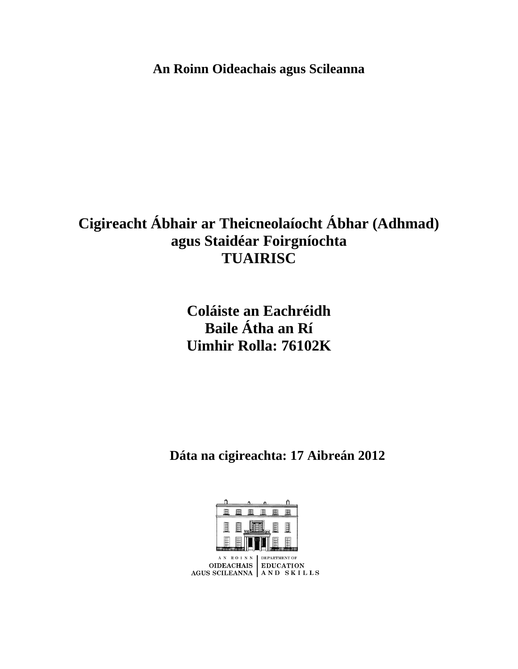**An Roinn Oideachais agus Scileanna**

# **Cigireacht Ábhair ar Theicneolaíocht Ábhar (Adhmad) agus Staidéar Foirgníochta TUAIRISC**

**Coláiste an Eachréidh Baile Átha an Rí Uimhir Rolla: 76102K**

 **Dáta na cigireachta: 17 Aibreán 2012**

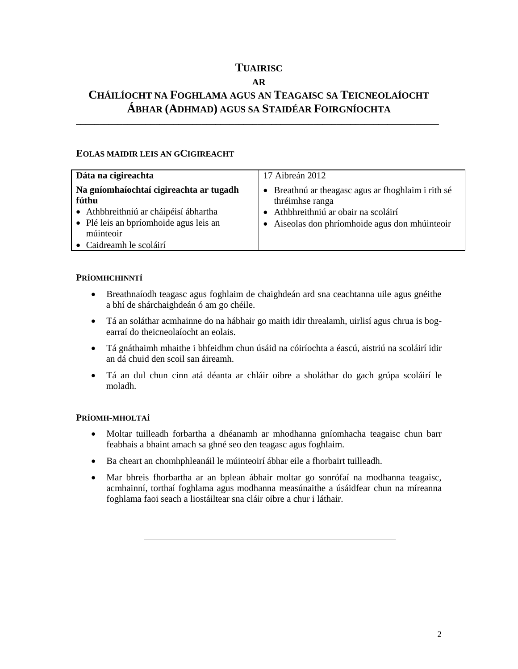# **TUAIRISC**

## **AR**

# **CHÁILÍOCHT NA FOGHLAMA AGUS AN TEAGAISC SA TEICNEOLAÍOCHT ÁBHAR (ADHMAD) AGUS SA STAIDÉAR FOIRGNÍOCHTA**

**\_\_\_\_\_\_\_\_\_\_\_\_\_\_\_\_\_\_\_\_\_\_\_\_\_\_\_\_\_\_\_\_\_\_\_\_\_\_\_\_\_\_\_\_\_\_\_\_\_\_\_\_\_\_\_\_\_\_\_\_\_\_\_\_\_\_\_\_\_\_\_\_\_\_\_\_\_\_**

### **EOLAS MAIDIR LEIS AN GCIGIREACHT**

| Dáta na cigireachta                                                                                                                                                         | 17 Aibreán 2012                                                                                                                                                          |
|-----------------------------------------------------------------------------------------------------------------------------------------------------------------------------|--------------------------------------------------------------------------------------------------------------------------------------------------------------------------|
| Na gníomhaíochtaí cigireachta ar tugadh<br>fúthu<br>· Athbhreithniú ar cháipéisí ábhartha<br>• Plé leis an bpríomhoide agus leis an<br>múinteoir<br>• Caidreamh le scoláirí | • Breathnú ar theagasc agus ar fhoghlaim i rith sé<br>thréimhse ranga<br>Athbhreithniú ar obair na scoláirí<br>Aiseolas don phríomhoide agus don mhúinteoir<br>$\bullet$ |

#### **PRÍOMHCHINNTÍ**

- Breathnaíodh teagasc agus foghlaim de chaighdeán ard sna ceachtanna uile agus gnéithe a bhí de shárchaighdeán ó am go chéile.
- Tá an soláthar acmhainne do na hábhair go maith idir threalamh, uirlisí agus chrua is bogearraí do theicneolaíocht an eolais.
- Tá gnáthaimh mhaithe i bhfeidhm chun úsáid na cóiríochta a éascú, aistriú na scoláirí idir an dá chuid den scoil san áireamh.
- Tá an dul chun cinn atá déanta ar chláir oibre a sholáthar do gach grúpa scoláirí le moladh.

#### **PRÍOMH-MHOLTAÍ**

- Moltar tuilleadh forbartha a dhéanamh ar mhodhanna gníomhacha teagaisc chun barr feabhais a bhaint amach sa ghné seo den teagasc agus foghlaim.
- Ba cheart an chomhphleanáil le múinteoirí ábhar eile a fhorbairt tuilleadh.
- Mar bhreis fhorbartha ar an bplean ábhair moltar go sonrófaí na modhanna teagaisc, acmhainní, torthaí foghlama agus modhanna measúnaithe a úsáidfear chun na míreanna foghlama faoi seach a liostáiltear sna cláir oibre a chur i láthair.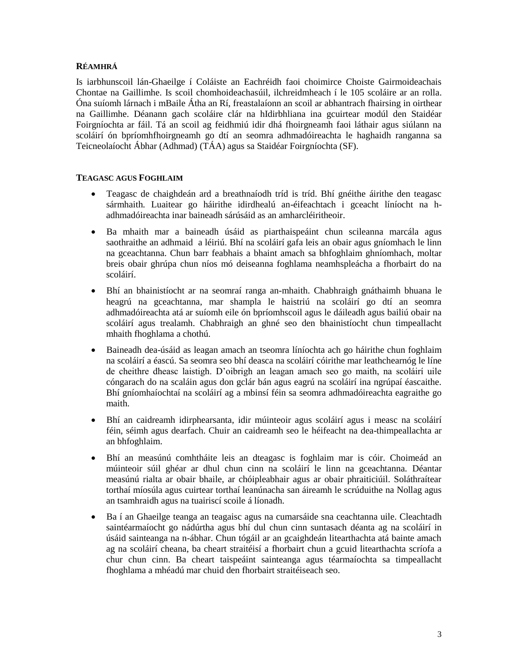#### **RÉAMHRÁ**

Is iarbhunscoil lán-Ghaeilge í Coláiste an Eachréidh faoi choimirce Choiste Gairmoideachais Chontae na Gaillimhe. Is scoil chomhoideachasúil, ilchreidmheach í le 105 scoláire ar an rolla. Óna suíomh lárnach i mBaile Átha an Rí, freastalaíonn an scoil ar abhantrach fhairsing in oirthear na Gaillimhe. Déanann gach scoláire clár na hIdirbhliana ina gcuirtear modúl den Staidéar Foirgníochta ar fáil. Tá an scoil ag feidhmiú idir dhá fhoirgneamh faoi láthair agus siúlann na scoláirí ón bpríomhfhoirgneamh go dtí an seomra adhmadóireachta le haghaidh ranganna sa Teicneolaíocht Ábhar (Adhmad) (TÁA) agus sa Staidéar Foirgníochta (SF).

#### **TEAGASC AGUS FOGHLAIM**

- Teagasc de chaighdeán ard a breathnaíodh tríd is tríd. Bhí gnéithe áirithe den teagasc sármhaith. Luaitear go háirithe idirdhealú an-éifeachtach i gceacht líníocht na hadhmadóireachta inar baineadh sárúsáid as an amharcléiritheoir.
- Ba mhaith mar a baineadh úsáid as piarthaispeáint chun scileanna marcála agus saothraithe an adhmaid a léiriú. Bhí na scoláirí gafa leis an obair agus gníomhach le linn na gceachtanna. Chun barr feabhais a bhaint amach sa bhfoghlaim ghníomhach, moltar breis obair ghrúpa chun níos mó deiseanna foghlama neamhspleácha a fhorbairt do na scoláirí.
- Bhí an bhainistíocht ar na seomraí ranga an-mhaith. Chabhraigh gnáthaimh bhuana le heagrú na gceachtanna, mar shampla le haistriú na scoláirí go dtí an seomra adhmadóireachta atá ar suíomh eile ón bpríomhscoil agus le dáileadh agus bailiú obair na scoláirí agus trealamh. Chabhraigh an ghné seo den bhainistíocht chun timpeallacht mhaith fhoghlama a chothú.
- Baineadh dea-úsáid as leagan amach an tseomra líníochta ach go háirithe chun foghlaim na scoláirí a éascú. Sa seomra seo bhí deasca na scoláirí cóirithe mar leathchearnóg le líne de cheithre dheasc laistigh. D'oibrigh an leagan amach seo go maith, na scoláirí uile cóngarach do na scaláin agus don gclár bán agus eagrú na scoláirí ina ngrúpaí éascaithe. Bhí gníomhaíochtaí na scoláirí ag a mbinsí féin sa seomra adhmadóireachta eagraithe go maith.
- Bhí an caidreamh idirphearsanta, idir múinteoir agus scoláirí agus i measc na scoláirí féin, séimh agus dearfach. Chuir an caidreamh seo le héifeacht na dea-thimpeallachta ar an bhfoghlaim.
- Bhí an measúnú comhtháite leis an dteagasc is foghlaim mar is cóir. Choimeád an múinteoir súil ghéar ar dhul chun cinn na scoláirí le linn na gceachtanna. Déantar measúnú rialta ar obair bhaile, ar chóipleabhair agus ar obair phraiticiúil. Soláthraítear torthaí míosúla agus cuirtear torthaí leanúnacha san áireamh le scrúduithe na Nollag agus an tsamhraidh agus na tuairiscí scoile á líonadh.
- Ba í an Ghaeilge teanga an teagaisc agus na cumarsáide sna ceachtanna uile. Cleachtadh saintéarmaíocht go nádúrtha agus bhí dul chun cinn suntasach déanta ag na scoláirí in úsáid sainteanga na n-ábhar. Chun tógáil ar an gcaighdeán litearthachta atá bainte amach ag na scoláirí cheana, ba cheart straitéisí a fhorbairt chun a gcuid litearthachta scríofa a chur chun cinn. Ba cheart taispeáint sainteanga agus téarmaíochta sa timpeallacht fhoghlama a mhéadú mar chuid den fhorbairt straitéiseach seo.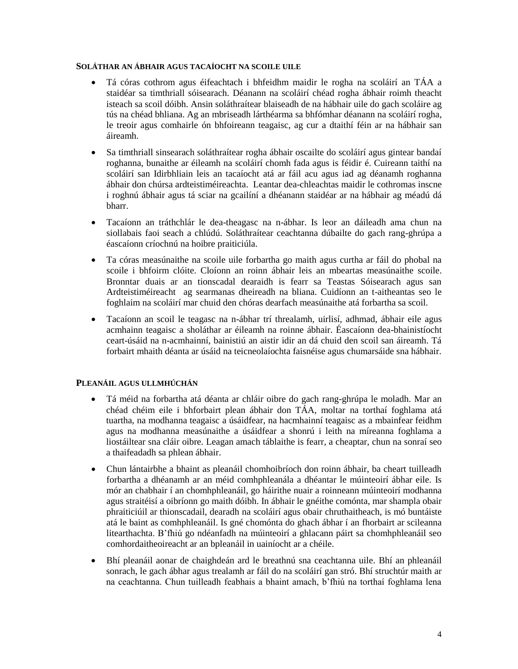#### **SOLÁTHAR AN ÁBHAIR AGUS TACAÍOCHT NA SCOILE UILE**

- Tá córas cothrom agus éifeachtach i bhfeidhm maidir le rogha na scoláirí an TÁA a staidéar sa timthriall sóisearach. Déanann na scoláirí chéad rogha ábhair roimh theacht isteach sa scoil dóibh. Ansin soláthraítear blaiseadh de na hábhair uile do gach scoláire ag tús na chéad bhliana. Ag an mbriseadh lárthéarma sa bhfómhar déanann na scoláirí rogha, le treoir agus comhairle ón bhfoireann teagaisc, ag cur a dtaithí féin ar na hábhair san áireamh.
- Sa timthriall sinsearach soláthraítear rogha ábhair oscailte do scoláirí agus gintear bandaí roghanna, bunaithe ar éileamh na scoláirí chomh fada agus is féidir é. Cuireann taithí na scoláirí san Idirbhliain leis an tacaíocht atá ar fáil acu agus iad ag déanamh roghanna ábhair don chúrsa ardteistiméireachta. Leantar dea-chleachtas maidir le cothromas inscne i roghnú ábhair agus tá sciar na gcailíní a dhéanann staidéar ar na hábhair ag méadú dá bharr.
- Tacaíonn an tráthchlár le dea-theagasc na n-ábhar. Is leor an dáileadh ama chun na siollabais faoi seach a chlúdú. Soláthraítear ceachtanna dúbailte do gach rang-ghrúpa a éascaíonn críochnú na hoibre praiticiúla.
- Ta córas measúnaithe na scoile uile forbartha go maith agus curtha ar fáil do phobal na scoile i bhfoirm clóite. Cloíonn an roinn ábhair leis an mbeartas measúnaithe scoile. Bronntar duais ar an tionscadal dearaidh is fearr sa Teastas Sóisearach agus san Ardteistiméireacht ag searmanas dheireadh na bliana. Cuidíonn an t-aitheantas seo le foghlaim na scoláirí mar chuid den chóras dearfach measúnaithe atá forbartha sa scoil.
- Tacaíonn an scoil le teagasc na n-ábhar trí threalamh, uirlisí, adhmad, ábhair eile agus acmhainn teagaisc a sholáthar ar éileamh na roinne ábhair. Éascaíonn dea-bhainistíocht ceart-úsáid na n-acmhainní, bainistiú an aistir idir an dá chuid den scoil san áireamh. Tá forbairt mhaith déanta ar úsáid na teicneolaíochta faisnéise agus chumarsáide sna hábhair.

#### **PLEANÁIL AGUS ULLMHÚCHÁN**

- Tá méid na forbartha atá déanta ar chláir oibre do gach rang-ghrúpa le moladh. Mar an chéad chéim eile i bhforbairt plean ábhair don TÁA, moltar na torthaí foghlama atá tuartha, na modhanna teagaisc a úsáidfear, na hacmhainní teagaisc as a mbainfear feidhm agus na modhanna measúnaithe a úsáidfear a shonrú i leith na míreanna foghlama a liostáiltear sna cláir oibre. Leagan amach táblaithe is fearr, a cheaptar, chun na sonraí seo a thaifeadadh sa phlean ábhair.
- Chun lántairbhe a bhaint as pleanáil chomhoibríoch don roinn ábhair, ba cheart tuilleadh forbartha a dhéanamh ar an méid comhphleanála a dhéantar le múinteoirí ábhar eile. Is mór an chabhair í an chomhphleanáil, go háirithe nuair a roinneann múinteoirí modhanna agus straitéisí a oibríonn go maith dóibh. In ábhair le gnéithe comónta, mar shampla obair phraiticiúil ar thionscadail, dearadh na scoláirí agus obair chruthaitheach, is mó buntáiste atá le baint as comhphleanáil. Is gné chomónta do ghach ábhar í an fhorbairt ar scileanna litearthachta. B'fhiú go ndéanfadh na múinteoirí a ghlacann páirt sa chomhphleanáil seo comhordaitheoireacht ar an bpleanáil in uainíocht ar a chéile.
- Bhí pleanáil aonar de chaighdeán ard le breathnú sna ceachtanna uile. Bhí an phleanáil sonrach, le gach ábhar agus trealamh ar fáil do na scoláirí gan stró. Bhí struchtúr maith ar na ceachtanna. Chun tuilleadh feabhais a bhaint amach, b'fhiú na torthaí foghlama lena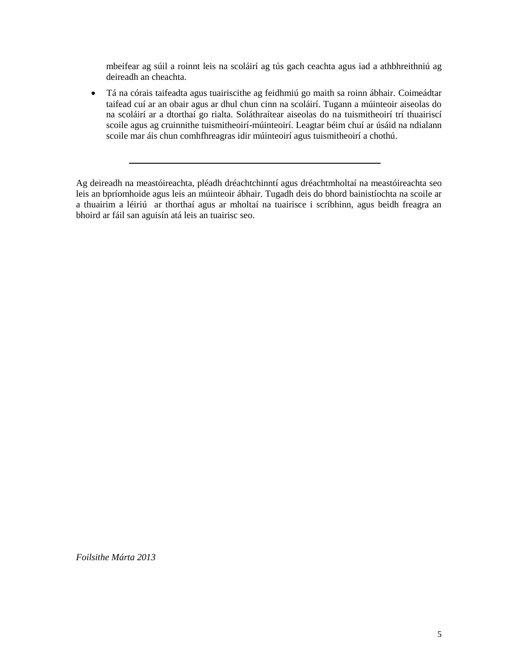mbeifear ag súil a roinnt leis na scoláirí ag tús gach ceachta agus iad a athbhreithniú ag deireadh an cheachta.

 Tá na córais taifeadta agus tuairiscithe ag feidhmiú go maith sa roinn ábhair. Coimeádtar taifead cuí ar an obair agus ar dhul chun cinn na scoláirí. Tugann a múinteoir aiseolas do na scoláirí ar a dtorthaí go rialta. Soláthraítear aiseolas do na tuismitheoirí trí thuairiscí scoile agus ag cruinnithe tuismitheoirí-múinteoirí. Leagtar béim chuí ar úsáid na ndialann scoile mar áis chun comhfhreagras idir múinteoirí agus tuismitheoirí a chothú.

Ag deireadh na meastóireachta, pléadh dréachtchinntí agus dréachtmholtaí na meastóireachta seo leis an bpríomhoide agus leis an múinteoir ábhair. Tugadh deis do bhord bainistíochta na scoile ar a thuairim a léiriú ar thorthaí agus ar mholtaí na tuairisce i scríbhinn, agus beidh freagra an bhoird ar fáil san aguisín atá leis an tuairisc seo.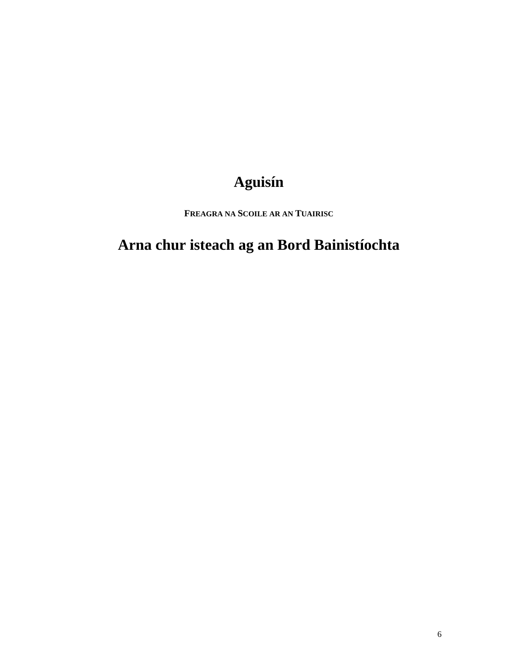# **Aguisín**

**FREAGRA NA SCOILE AR AN TUAIRISC**

# **Arna chur isteach ag an Bord Bainistíochta**